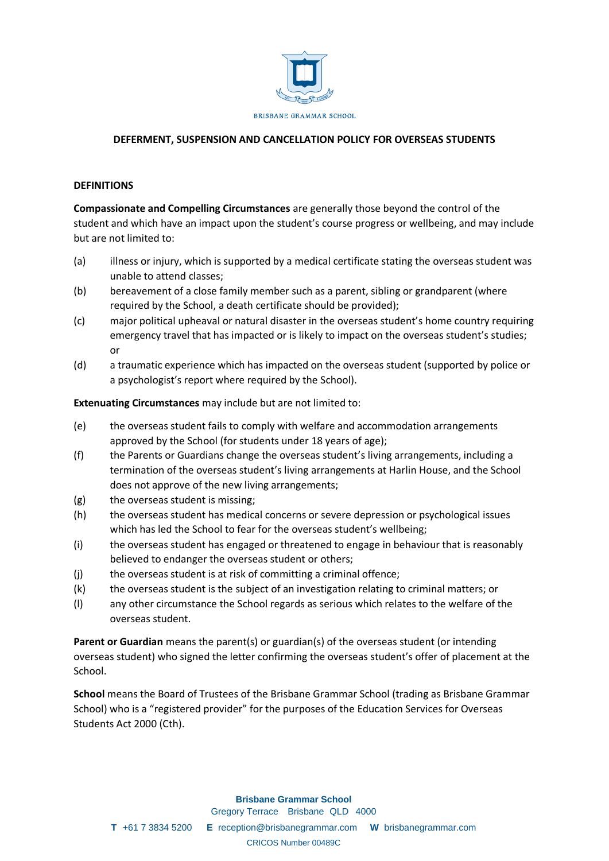

# **DEFERMENT, SUSPENSION AND CANCELLATION POLICY FOR OVERSEAS STUDENTS**

#### **DEFINITIONS**

**Compassionate and Compelling Circumstances** are generally those beyond the control of the student and which have an impact upon the student's course progress or wellbeing, and may include but are not limited to:

- (a) illness or injury, which is supported by a medical certificate stating the overseas student was unable to attend classes;
- (b) bereavement of a close family member such as a parent, sibling or grandparent (where required by the School, a death certificate should be provided);
- (c) major political upheaval or natural disaster in the overseas student's home country requiring emergency travel that has impacted or is likely to impact on the overseas student's studies; or
- (d) a traumatic experience which has impacted on the overseas student (supported by police or a psychologist's report where required by the School).

**Extenuating Circumstances** may include but are not limited to:

- (e) the overseas student fails to comply with welfare and accommodation arrangements approved by the School (for students under 18 years of age);
- (f) the Parents or Guardians change the overseas student's living arrangements, including a termination of the overseas student's living arrangements at Harlin House, and the School does not approve of the new living arrangements;
- (g) the overseas student is missing;
- (h) the overseas student has medical concerns or severe depression or psychological issues which has led the School to fear for the overseas student's wellbeing;
- (i) the overseas student has engaged or threatened to engage in behaviour that is reasonably believed to endanger the overseas student or others;
- (i) the overseas student is at risk of committing a criminal offence;
- (k) the overseas student is the subject of an investigation relating to criminal matters; or
- (l) any other circumstance the School regards as serious which relates to the welfare of the overseas student.

**Parent or Guardian** means the parent(s) or guardian(s) of the overseas student (or intending overseas student) who signed the letter confirming the overseas student's offer of placement at the School.

**School** means the Board of Trustees of the Brisbane Grammar School (trading as Brisbane Grammar School) who is a "registered provider" for the purposes of the Education Services for Overseas Students Act 2000 (Cth).

> **Brisbane Grammar School** Gregory Terrace Brisbane QLD 4000

**T** +61 7 3834 5200 **E** reception@brisbanegrammar.com **W** brisbanegrammar.com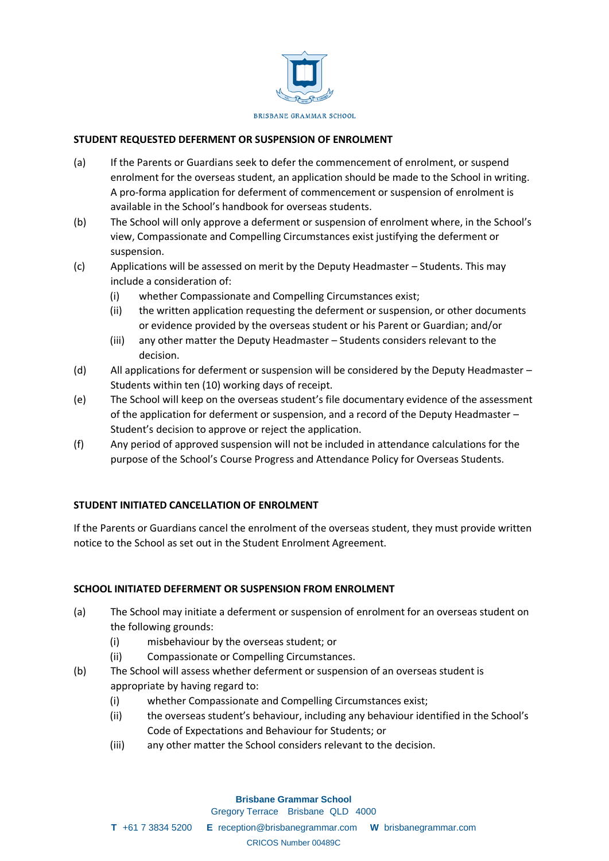

# **STUDENT REQUESTED DEFERMENT OR SUSPENSION OF ENROLMENT**

- (a) If the Parents or Guardians seek to defer the commencement of enrolment, or suspend enrolment for the overseas student, an application should be made to the School in writing. A pro-forma application for deferment of commencement or suspension of enrolment is available in the School's handbook for overseas students.
- (b) The School will only approve a deferment or suspension of enrolment where, in the School's view, Compassionate and Compelling Circumstances exist justifying the deferment or suspension.
- (c) Applications will be assessed on merit by the Deputy Headmaster Students. This may include a consideration of:
	- (i) whether Compassionate and Compelling Circumstances exist;
	- (ii) the written application requesting the deferment or suspension, or other documents or evidence provided by the overseas student or his Parent or Guardian; and/or
	- (iii) any other matter the Deputy Headmaster Students considers relevant to the decision.
- (d) All applications for deferment or suspension will be considered by the Deputy Headmaster Students within ten (10) working days of receipt.
- (e) The School will keep on the overseas student's file documentary evidence of the assessment of the application for deferment or suspension, and a record of the Deputy Headmaster – Student's decision to approve or reject the application.
- (f) Any period of approved suspension will not be included in attendance calculations for the purpose of the School's Course Progress and Attendance Policy for Overseas Students.

### **STUDENT INITIATED CANCELLATION OF ENROLMENT**

If the Parents or Guardians cancel the enrolment of the overseas student, they must provide written notice to the School as set out in the Student Enrolment Agreement.

### **SCHOOL INITIATED DEFERMENT OR SUSPENSION FROM ENROLMENT**

- (a) The School may initiate a deferment or suspension of enrolment for an overseas student on the following grounds:
	- (i) misbehaviour by the overseas student; or
	- (ii) Compassionate or Compelling Circumstances.
- (b) The School will assess whether deferment or suspension of an overseas student is appropriate by having regard to:
	- (i) whether Compassionate and Compelling Circumstances exist;
	- (ii) the overseas student's behaviour, including any behaviour identified in the School's Code of Expectations and Behaviour for Students; or
	- (iii) any other matter the School considers relevant to the decision.

# **Brisbane Grammar School** Gregory Terrace Brisbane QLD 4000

**T** +61 7 3834 5200 **E** reception@brisbanegrammar.com **W** brisbanegrammar.com

#### CRICOS Number 00489C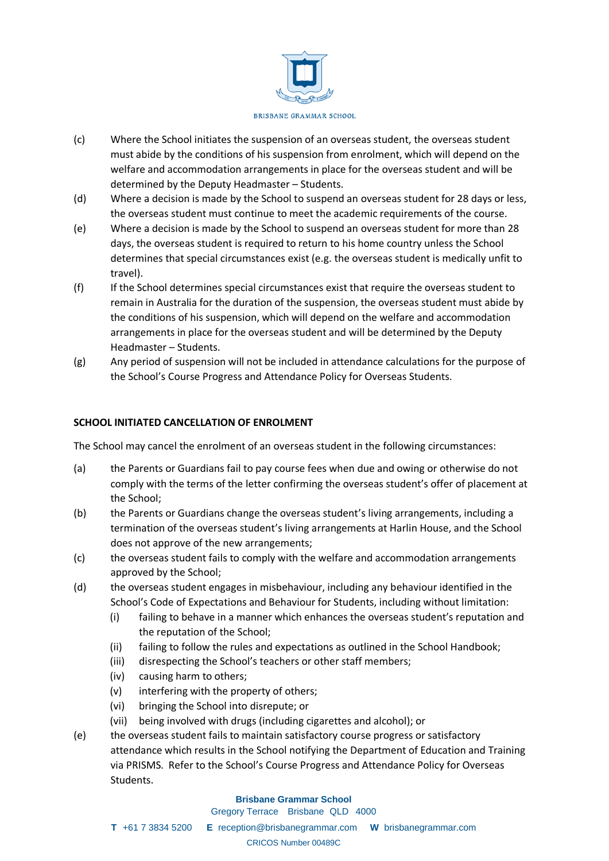

- (c) Where the School initiates the suspension of an overseas student, the overseas student must abide by the conditions of his suspension from enrolment, which will depend on the welfare and accommodation arrangements in place for the overseas student and will be determined by the Deputy Headmaster – Students.
- (d) Where a decision is made by the School to suspend an overseas student for 28 days or less, the overseas student must continue to meet the academic requirements of the course.
- (e) Where a decision is made by the School to suspend an overseas student for more than 28 days, the overseas student is required to return to his home country unless the School determines that special circumstances exist (e.g. the overseas student is medically unfit to travel).
- (f) If the School determines special circumstances exist that require the overseas student to remain in Australia for the duration of the suspension, the overseas student must abide by the conditions of his suspension, which will depend on the welfare and accommodation arrangements in place for the overseas student and will be determined by the Deputy Headmaster – Students.
- (g) Any period of suspension will not be included in attendance calculations for the purpose of the School's Course Progress and Attendance Policy for Overseas Students.

# **SCHOOL INITIATED CANCELLATION OF ENROLMENT**

The School may cancel the enrolment of an overseas student in the following circumstances:

- (a) the Parents or Guardians fail to pay course fees when due and owing or otherwise do not comply with the terms of the letter confirming the overseas student's offer of placement at the School;
- (b) the Parents or Guardians change the overseas student's living arrangements, including a termination of the overseas student's living arrangements at Harlin House, and the School does not approve of the new arrangements;
- (c) the overseas student fails to comply with the welfare and accommodation arrangements approved by the School;
- (d) the overseas student engages in misbehaviour, including any behaviour identified in the School's Code of Expectations and Behaviour for Students, including without limitation:
	- (i) failing to behave in a manner which enhances the overseas student's reputation and the reputation of the School;
	- (ii) failing to follow the rules and expectations as outlined in the School Handbook;
	- (iii) disrespecting the School's teachers or other staff members;
	- (iv) causing harm to others;
	- (v) interfering with the property of others;
	- (vi) bringing the School into disrepute; or
	- (vii) being involved with drugs (including cigarettes and alcohol); or
- (e) the overseas student fails to maintain satisfactory course progress or satisfactory attendance which results in the School notifying the Department of Education and Training via PRISMS. Refer to the School's Course Progress and Attendance Policy for Overseas Students.

#### **Brisbane Grammar School**

Gregory Terrace Brisbane QLD 4000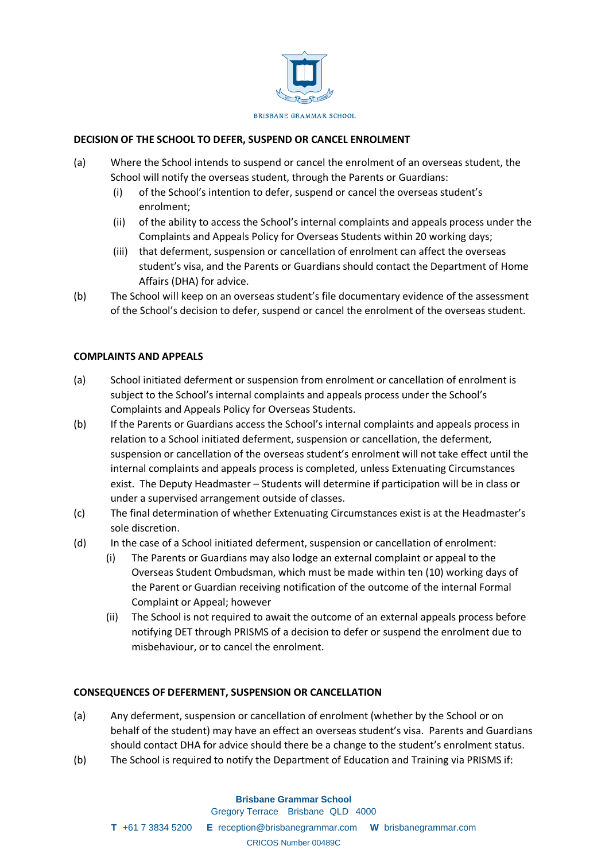

# **DECISION OF THE SCHOOL TO DEFER, SUSPEND OR CANCEL ENROLMENT**

- (a) Where the School intends to suspend or cancel the enrolment of an overseas student, the School will notify the overseas student, through the Parents or Guardians:
	- (i) of the School's intention to defer, suspend or cancel the overseas student's enrolment;
	- (ii) of the ability to access the School's internal complaints and appeals process under the Complaints and Appeals Policy for Overseas Students within 20 working days;
	- (iii) that deferment, suspension or cancellation of enrolment can affect the overseas student's visa, and the Parents or Guardians should contact the Department of Home Affairs (DHA) for advice.
- (b) The School will keep on an overseas student's file documentary evidence of the assessment of the School's decision to defer, suspend or cancel the enrolment of the overseas student.

### **COMPLAINTS AND APPEALS**

- (a) School initiated deferment or suspension from enrolment or cancellation of enrolment is subject to the School's internal complaints and appeals process under the School's Complaints and Appeals Policy for Overseas Students.
- (b) If the Parents or Guardians access the School's internal complaints and appeals process in relation to a School initiated deferment, suspension or cancellation, the deferment, suspension or cancellation of the overseas student's enrolment will not take effect until the internal complaints and appeals process is completed, unless Extenuating Circumstances exist. The Deputy Headmaster – Students will determine if participation will be in class or under a supervised arrangement outside of classes.
- (c) The final determination of whether Extenuating Circumstances exist is at the Headmaster's sole discretion.
- (d) In the case of a School initiated deferment, suspension or cancellation of enrolment:
	- (i) The Parents or Guardians may also lodge an external complaint or appeal to the Overseas Student Ombudsman, which must be made within ten (10) working days of the Parent or Guardian receiving notification of the outcome of the internal Formal Complaint or Appeal; however
	- (ii) The School is not required to await the outcome of an external appeals process before notifying DET through PRISMS of a decision to defer or suspend the enrolment due to misbehaviour, or to cancel the enrolment.

### **CONSEQUENCES OF DEFERMENT, SUSPENSION OR CANCELLATION**

- (a) Any deferment, suspension or cancellation of enrolment (whether by the School or on behalf of the student) may have an effect an overseas student's visa. Parents and Guardians should contact DHA for advice should there be a change to the student's enrolment status.
- (b) The School is required to notify the Department of Education and Training via PRISMS if: